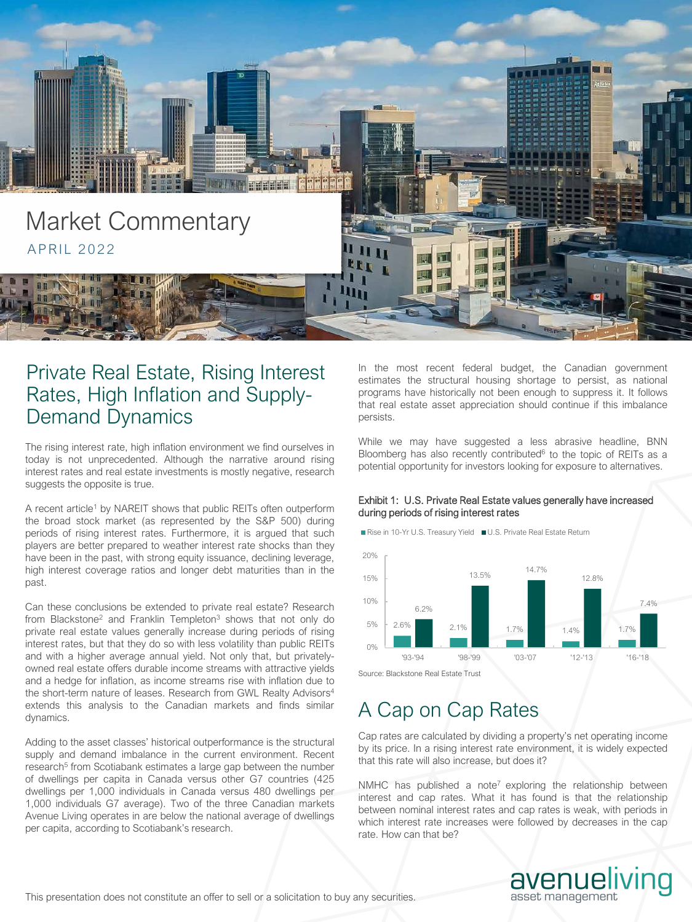

# Private Real Estate, Rising Interest Rates, High Inflation and Supply-Demand Dynamics

The rising interest rate, high inflation environment we find ourselves in today is not unprecedented. Although the narrative around rising interest rates and real estate investments is mostly negative, research suggests the opposite is true.

A recent article<sup>1</sup> by NAREIT shows that public REITs often outperform the broad stock market (as represented by the S&P 500) during periods of rising interest rates. Furthermore, it is argued that such players are better prepared to weather interest rate shocks than they have been in the past, with strong equity issuance, declining leverage, high interest coverage ratios and longer debt maturities than in the past.

Can these conclusions be extended to private real estate? Research from Blackstone<sup>2</sup> and Franklin Templeton<sup>3</sup> shows that not only do private real estate values generally increase during periods of rising interest rates, but that they do so with less volatility than public REITs and with a higher average annual yield. Not only that, but privatelyowned real estate offers durable income streams with attractive yields and a hedge for inflation, as income streams rise with inflation due to the short-term nature of leases. Research from GWL Realty Advisors<sup>4</sup> extends this analysis to the Canadian markets and finds similar dynamics.

Adding to the asset classes' historical outperformance is the structural supply and demand imbalance in the current environment. Recent research<sup>5</sup> from Scotiabank estimates a large gap between the number of dwellings per capita in Canada versus other G7 countries (425 dwellings per 1,000 individuals in Canada versus 480 dwellings per 1,000 individuals G7 average). Two of the three Canadian markets Avenue Living operates in are below the national average of dwellings per capita, according to Scotiabank's research.

In the most recent federal budget, the Canadian government estimates the structural housing shortage to persist, as national programs have historically not been enough to suppress it. It follows that real estate asset appreciation should continue if this imbalance persists.

While we may have suggested a less abrasive headline, BNN Bloomberg has also recently contributed $6$  to the topic of REITs as a potential opportunity for investors looking for exposure to alternatives.

## Exhibit 1: U.S. Private Real Estate values generally have increased during periods of rising interest rates

Rise in 10-Yr U.S. Treasury Yield U.S. Private Real Estate Return



Source: Blackstone Real Estate Trust

# A Cap on Cap Rates

Cap rates are calculated by dividing a property's net operating income by its price. In a rising interest rate environment, it is widely expected that this rate will also increase, but does it?

NMHC has published a note<sup>7</sup> exploring the relationship between interest and cap rates. What it has found is that the relationship between nominal interest rates and cap rates is weak, with periods in which interest rate increases were followed by decreases in the cap rate. How can that be?